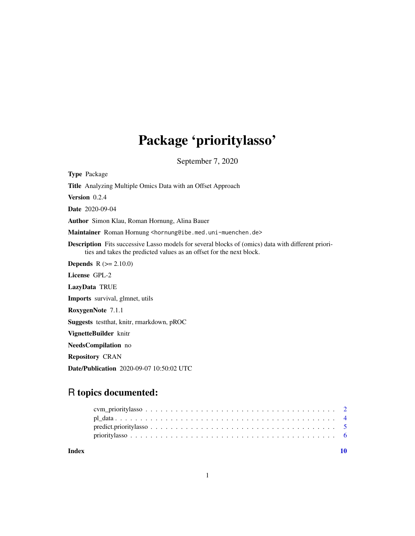## Package 'prioritylasso'

September 7, 2020

<span id="page-0-0"></span>Type Package

Title Analyzing Multiple Omics Data with an Offset Approach

Version 0.2.4

Date 2020-09-04

Author Simon Klau, Roman Hornung, Alina Bauer

Maintainer Roman Hornung <hornung@ibe.med.uni-muenchen.de>

Description Fits successive Lasso models for several blocks of (omics) data with different priorities and takes the predicted values as an offset for the next block.

**Depends**  $R$  ( $>= 2.10.0$ )

License GPL-2

LazyData TRUE

Imports survival, glmnet, utils

RoxygenNote 7.1.1

Suggests testthat, knitr, rmarkdown, pROC

VignetteBuilder knitr

NeedsCompilation no

Repository CRAN

Date/Publication 2020-09-07 10:50:02 UTC

### R topics documented:

| Index |  |  |  |  |  |  |  |  |  |  |  |  |  |  |  |  |  |
|-------|--|--|--|--|--|--|--|--|--|--|--|--|--|--|--|--|--|
|       |  |  |  |  |  |  |  |  |  |  |  |  |  |  |  |  |  |
|       |  |  |  |  |  |  |  |  |  |  |  |  |  |  |  |  |  |
|       |  |  |  |  |  |  |  |  |  |  |  |  |  |  |  |  |  |
|       |  |  |  |  |  |  |  |  |  |  |  |  |  |  |  |  |  |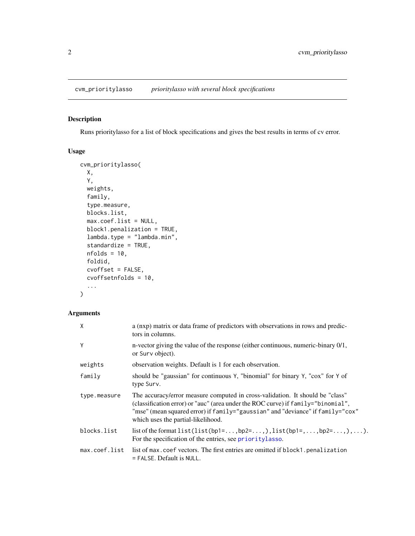#### <span id="page-1-1"></span><span id="page-1-0"></span>Description

Runs prioritylasso for a list of block specifications and gives the best results in terms of cv error.

#### Usage

```
cvm_prioritylasso(
 X,
 Y,
 weights,
  family,
  type.measure,
 blocks.list,
 max.coef.list = NULL,
 block1.penalization = TRUE,
  lambda.type = "lambda.min",
  standardize = TRUE,
 nfolds = 10,
 foldid,
  cvoffset = FALSE,
 cvoffsetnfolds = 10,
  ...
)
```
#### Arguments

| $\chi$        | a (nxp) matrix or data frame of predictors with observations in rows and predic-<br>tors in columns.                                                                                                                                                                                      |
|---------------|-------------------------------------------------------------------------------------------------------------------------------------------------------------------------------------------------------------------------------------------------------------------------------------------|
| Y             | n-vector giving the value of the response (either continuous, numeric-binary 0/1,<br>or Surv object).                                                                                                                                                                                     |
| weights       | observation weights. Default is 1 for each observation.                                                                                                                                                                                                                                   |
| family        | should be "gaussian" for continuous Y, "binomial" for binary Y, "cox" for Y of<br>type Surv.                                                                                                                                                                                              |
| type.measure  | The accuracy/error measure computed in cross-validation. It should be "class"<br>(classification error) or "auc" (area under the ROC curve) if family="binomial",<br>"mse" (mean squared error) if family="gaussian" and "deviance" if family="cox"<br>which uses the partial-likelihood. |
| blocks.list   | list of the format $list(list(bp1=, bp2=), list(bp1=,,bp2=),).$<br>For the specification of the entries, see prioritylasso.                                                                                                                                                               |
| max.coef.list | list of max.coef vectors. The first entries are omitted if block1.penalization<br>$=$ FALSE. Default is NULL.                                                                                                                                                                             |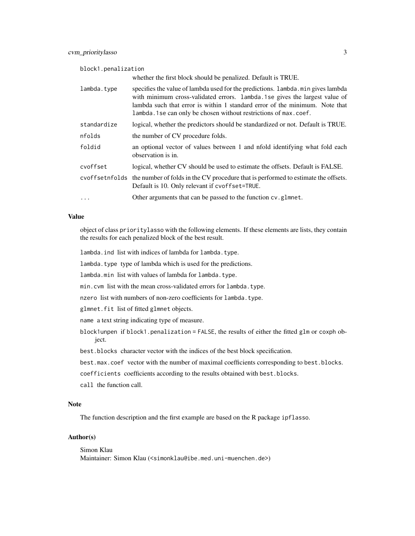block1.penalization

|             | whether the first block should be penalized. Default is TRUE.                                                                                                                                                                                                                                                        |
|-------------|----------------------------------------------------------------------------------------------------------------------------------------------------------------------------------------------------------------------------------------------------------------------------------------------------------------------|
| lambda.tvpe | specifies the value of lambda used for the predictions. Lambda min gives lambda<br>with minimum cross-validated errors. Lambda. 1 se gives the largest value of<br>lambda such that error is within 1 standard error of the minimum. Note that<br>lambda. 1 se can only be chosen without restrictions of max. coef. |
| standardize | logical, whether the predictors should be standardized or not. Default is TRUE.                                                                                                                                                                                                                                      |
| nfolds      | the number of CV procedure folds.                                                                                                                                                                                                                                                                                    |
| foldid      | an optional vector of values between 1 and nfold identifying what fold each<br>observation is in.                                                                                                                                                                                                                    |
| cvoffset    | logical, whether CV should be used to estimate the offsets. Default is FALSE.                                                                                                                                                                                                                                        |
|             | cvoffsetnfolds the number of folds in the CV procedure that is performed to estimate the offsets.<br>Default is 10. Only relevant if cvoffset=TRUE.                                                                                                                                                                  |
| $\ddots$    | Other arguments that can be passed to the function cv.glmnet.                                                                                                                                                                                                                                                        |

#### Value

object of class prioritylasso with the following elements. If these elements are lists, they contain the results for each penalized block of the best result.

lambda.ind list with indices of lambda for lambda.type.

lambda.type type of lambda which is used for the predictions.

lambda.min list with values of lambda for lambda.type.

min.cvm list with the mean cross-validated errors for lambda.type.

nzero list with numbers of non-zero coefficients for lambda.type.

glmnet.fit list of fitted glmnet objects.

name a text string indicating type of measure.

block1unpen if block1.penalization = FALSE, the results of either the fitted glm or coxph object.

best.blocks character vector with the indices of the best block specification.

best.max.coef vector with the number of maximal coefficients corresponding to best.blocks.

coefficients coefficients according to the results obtained with best.blocks.

call the function call.

#### Note

The function description and the first example are based on the R package ipflasso.

#### Author(s)

Simon Klau Maintainer: Simon Klau (<simonklau@ibe.med.uni-muenchen.de>)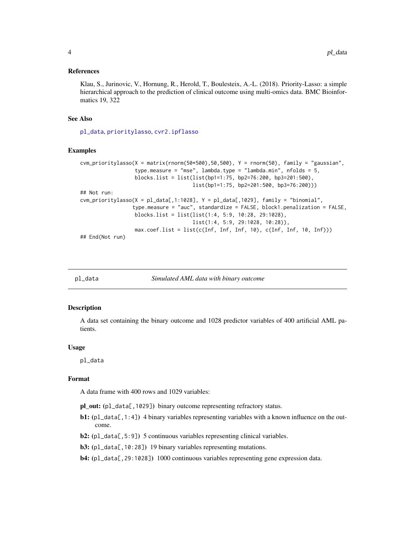#### <span id="page-3-0"></span>References

Klau, S., Jurinovic, V., Hornung, R., Herold, T., Boulesteix, A.-L. (2018). Priority-Lasso: a simple hierarchical approach to the prediction of clinical outcome using multi-omics data. BMC Bioinformatics 19, 322

#### See Also

[pl\\_data](#page-3-1), [prioritylasso](#page-5-1), [cvr2.ipflasso](#page-0-0)

#### Examples

```
cvm_prioritylasso(X = matrix(rnorm(50*500),50,500), Y = rnorm(50), family = "gaussian",
                  type.measure = "mse", lambda.type = "lambda.min", nfolds = 5,
                  blocks.list = list(list(bp1=1:75, bp2=76:200, bp3=201:500),
                                     list(bp1=1:75, bp2=201:500, bp3=76:200)))
## Not run:
cvm_prioritylasso(X = p1_data[,1:1028], Y = p1_data[,1029], family = "binomial",
                 type.measure = "auc", standardize = FALSE, block1.penalization = FALSE,
                 blocks.list = list(list(1:4, 5:9, 10:28, 29:1028),
                                     list(1:4, 5:9, 29:1028, 10:28)),
                  max.coef.list = list(c(Inf, Inf, Inf, 10), c(Inf, Inf, 10, Inf)))
## End(Not run)
```
<span id="page-3-1"></span>

pl\_data *Simulated AML data with binary outcome*

#### Description

A data set containing the binary outcome and 1028 predictor variables of 400 artificial AML patients.

#### Usage

pl\_data

#### Format

A data frame with 400 rows and 1029 variables:

pl\_out: (pl\_data[,1029]) binary outcome representing refractory status.

- **b1:** (pl\_data[,1:4]) 4 binary variables representing variables with a known influence on the outcome.
- b2: (pl\_data[,5:9]) 5 continuous variables representing clinical variables.
- b3: (pl\_data[,10:28]) 19 binary variables representing mutations.

b4: (pl\_data[,29:1028]) 1000 continuous variables representing gene expression data.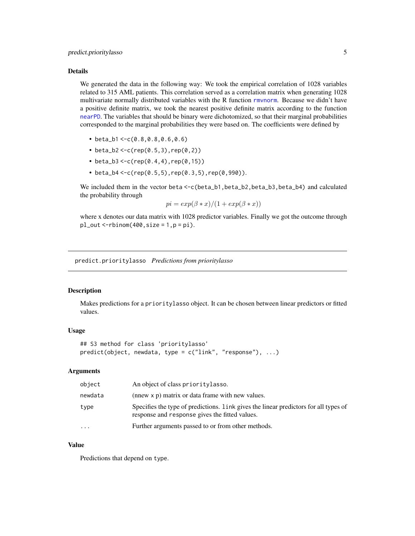#### <span id="page-4-0"></span>Details

We generated the data in the following way: We took the empirical correlation of 1028 variables related to 315 AML patients. This correlation served as a correlation matrix when generating 1028 multivariate normally distributed variables with the R function [rmvnorm](#page-0-0). Because we didn't have a positive definite matrix, we took the nearest positive definite matrix according to the function [nearPD](#page-0-0). The variables that should be binary were dichotomized, so that their marginal probabilities corresponded to the marginal probabilities they were based on. The coefficients were defined by

- beta\_b1 <- $c(0.8, 0.8, 0.6, 0.6)$
- beta\_b2 <- $c$ (rep(0.5,3),rep(0,2))
- beta\_b3 <- $c$ (rep(0.4,4),rep(0,15))
- beta\_b4 <- $c$ (rep(0.5,5),rep(0.3,5),rep(0,990)).

We included them in the vector beta  $\leq$ -c(beta\_b1, beta\_b2, beta\_b3, beta\_b4) and calculated the probability through

$$
pi = exp(\beta * x)/(1 + exp(\beta * x))
$$

where x denotes our data matrix with 1028 predictor variables. Finally we got the outcome through  $pl_out <$ -rbinom(400,size = 1,p = pi).

predict.prioritylasso *Predictions from prioritylasso*

#### Description

Makes predictions for a prioritylasso object. It can be chosen between linear predictors or fitted values.

#### Usage

```
## S3 method for class 'prioritylasso'
predict(object, newdata, type = c("link", "response"), ...)
```
#### Arguments

| object    | An object of class priority lasso.                                                                                                     |
|-----------|----------------------------------------------------------------------------------------------------------------------------------------|
| newdata   | (nnew x p) matrix or data frame with new values.                                                                                       |
| type      | Specifies the type of predictions. Link gives the linear predictors for all types of<br>response and response gives the fitted values. |
| $\ddotsc$ | Further arguments passed to or from other methods.                                                                                     |

#### Value

Predictions that depend on type.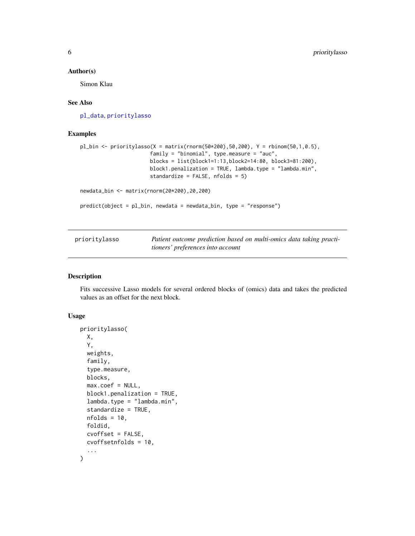#### <span id="page-5-0"></span>Author(s)

Simon Klau

#### See Also

[pl\\_data](#page-3-1), [prioritylasso](#page-5-1)

#### Examples

```
p1_bin <- prioritylasso(X = matrix(rnorm(50*200),50,200), Y = rbinom(50,1,0.5),
                       family = "binomial", type.measure = "auc",
                       blocks = list(block1=1:13,block2=14:80, block3=81:200),
                       block1.penalization = TRUE, lambda.type = "lambda.min",
                       standardize = FALSE, nfolds = 5)
newdata_bin <- matrix(rnorm(20*200),20,200)
predict(object = pl_bin, newdata = newdata_bin, type = "response")
```
<span id="page-5-1"></span>

| prioritylasso | Patient outcome prediction based on multi-omics data taking practi- |
|---------------|---------------------------------------------------------------------|
|               | tioners' preferences into account                                   |

#### Description

Fits successive Lasso models for several ordered blocks of (omics) data and takes the predicted values as an offset for the next block.

#### Usage

```
prioritylasso(
 X,
  Y,
 weights,
  family,
  type.measure,
 blocks,
 max.coef = NULL,block1.penalization = TRUE,
  lambda.type = "lambda.min",
  standardize = TRUE,
 nfolds = 10,
  foldid,
  cvoffset = FALSE,
 cvoffsetnfolds = 10,
  ...
\mathcal{L}
```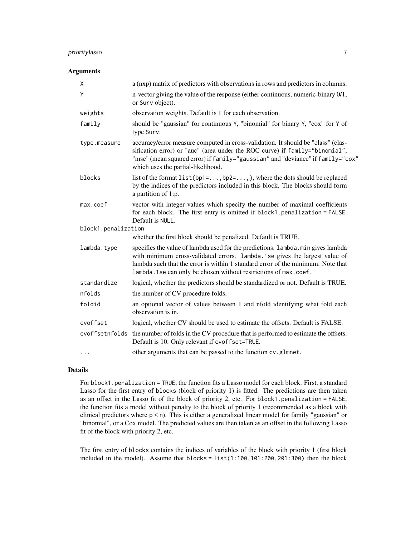#### prioritylasso 7

#### Arguments

| X                   | a (nxp) matrix of predictors with observations in rows and predictors in columns.                                                                                                                                                                                                                                      |
|---------------------|------------------------------------------------------------------------------------------------------------------------------------------------------------------------------------------------------------------------------------------------------------------------------------------------------------------------|
| Y                   | n-vector giving the value of the response (either continuous, numeric-binary 0/1,<br>or Surv object).                                                                                                                                                                                                                  |
| weights             | observation weights. Default is 1 for each observation.                                                                                                                                                                                                                                                                |
| family              | should be "gaussian" for continuous Y, "binomial" for binary Y, "cox" for Y of<br>type Surv.                                                                                                                                                                                                                           |
| type.measure        | accuracy/error measure computed in cross-validation. It should be "class" (clas-<br>sification error) or "auc" (area under the ROC curve) if family="binomial",<br>"mse" (mean squared error) if family="gaussian" and "deviance" if family="cox"<br>which uses the partial-likelihood.                                |
| blocks              | list of the format $list(bp1=,bp2=),$ where the dots should be replaced<br>by the indices of the predictors included in this block. The blocks should form<br>a partition of 1:p.                                                                                                                                      |
| max.coef            | vector with integer values which specify the number of maximal coefficients<br>for each block. The first entry is omitted if block1.penalization = FALSE.<br>Default is NULL.                                                                                                                                          |
| block1.penalization |                                                                                                                                                                                                                                                                                                                        |
|                     | whether the first block should be penalized. Default is TRUE.                                                                                                                                                                                                                                                          |
| lambda.type         | specifies the value of lambda used for the predictions. Lambda.min gives lambda<br>with minimum cross-validated errors. lambda.1se gives the largest value of<br>lambda such that the error is within 1 standard error of the minimum. Note that<br>lambda. 1 se can only be chosen without restrictions of max. coef. |
| standardize         | logical, whether the predictors should be standardized or not. Default is TRUE.                                                                                                                                                                                                                                        |
| nfolds              | the number of CV procedure folds.                                                                                                                                                                                                                                                                                      |
| foldid              | an optional vector of values between 1 and nfold identifying what fold each<br>observation is in.                                                                                                                                                                                                                      |
| cvoffset            | logical, whether CV should be used to estimate the offsets. Default is FALSE.                                                                                                                                                                                                                                          |
|                     | cvoffsetnfolds the number of folds in the CV procedure that is performed to estimate the offsets.<br>Default is 10. Only relevant if cvoffset=TRUE.                                                                                                                                                                    |
| $\cdots$            | other arguments that can be passed to the function cv.glmnet.                                                                                                                                                                                                                                                          |

#### Details

For block1.penalization = TRUE, the function fits a Lasso model for each block. First, a standard Lasso for the first entry of blocks (block of priority 1) is fitted. The predictions are then taken as an offset in the Lasso fit of the block of priority 2, etc. For block1.penalization = FALSE, the function fits a model without penalty to the block of priority 1 (recommended as a block with clinical predictors where p < n). This is either a generalized linear model for family "gaussian" or "binomial", or a Cox model. The predicted values are then taken as an offset in the following Lasso fit of the block with priority 2, etc.

The first entry of blocks contains the indices of variables of the block with priority 1 (first block included in the model). Assume that  $blocks = list(1:100, 101:200, 201:300)$  then the block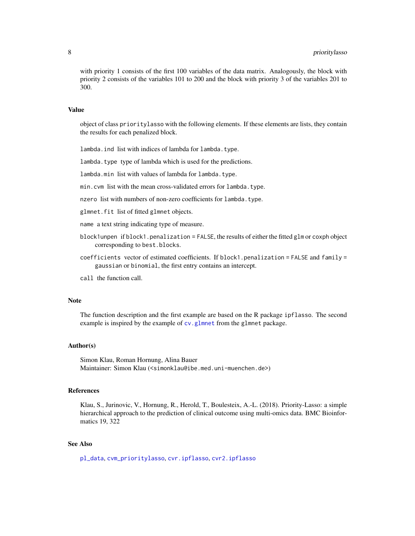<span id="page-7-0"></span>with priority 1 consists of the first 100 variables of the data matrix. Analogously, the block with priority 2 consists of the variables 101 to 200 and the block with priority 3 of the variables 201 to 300.

#### Value

object of class prioritylasso with the following elements. If these elements are lists, they contain the results for each penalized block.

lambda.ind list with indices of lambda for lambda.type.

lambda.type type of lambda which is used for the predictions.

lambda.min list with values of lambda for lambda.type.

min.cvm list with the mean cross-validated errors for lambda.type.

nzero list with numbers of non-zero coefficients for lambda.type.

glmnet.fit list of fitted glmnet objects.

name a text string indicating type of measure.

- block1unpen if block1.penalization = FALSE, the results of either the fitted glm or coxph object corresponding to best.blocks.
- coefficients vector of estimated coefficients. If block1.penalization = FALSE and family = gaussian or binomial, the first entry contains an intercept.
- call the function call.

#### Note

The function description and the first example are based on the R package ipflasso. The second example is inspired by the example of [cv.glmnet](#page-0-0) from the glmnet package.

#### Author(s)

Simon Klau, Roman Hornung, Alina Bauer Maintainer: Simon Klau (<simonklau@ibe.med.uni-muenchen.de>)

#### References

Klau, S., Jurinovic, V., Hornung, R., Herold, T., Boulesteix, A.-L. (2018). Priority-Lasso: a simple hierarchical approach to the prediction of clinical outcome using multi-omics data. BMC Bioinformatics 19, 322

#### See Also

[pl\\_data](#page-3-1), [cvm\\_prioritylasso](#page-1-1), [cvr.ipflasso](#page-0-0), [cvr2.ipflasso](#page-0-0)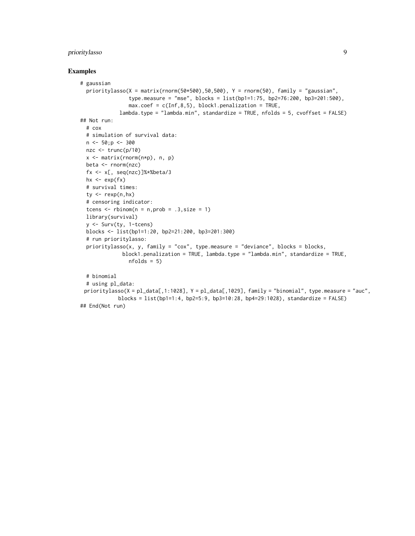#### prioritylasso 9

#### Examples

```
# gaussian
 prioritylasso(X = matrix(rnorm(50*500),50,500), Y = rnorm(50), family = "gaussian",
                type.measure = "mse", blocks = list(bp1=1:75, bp2=76:200, bp3=201:500),
                max.coef = c(Inf, 8, 5), block1.penalization = TRUE,
             lambda.type = "lambda.min", standardize = TRUE, nfolds = 5, cvoffset = FALSE)
## Not run:
 # cox
 # simulation of survival data:
 n \le -50; p \le -300nzc <- trunc(p/10)
 x <- matrix(rnorm(n*p), n, p)
 beta <- rnorm(nzc)
 fx \leftarrow x[, \text{ seq}(nzc)]\ * % beta/3
 hx \leftarrow exp(fx)
 # survival times:
 ty \leq -\text{resp}(n,hx)# censoring indicator:
 tcens \le - rbinom(n = n, prob = .3, size = 1)
 library(survival)
 y <- Surv(ty, 1-tcens)
 blocks <- list(bp1=1:20, bp2=21:200, bp3=201:300)
 # run prioritylasso:
 prioritylasso(x, y, family = "cox", type.measure = "deviance", blocks = blocks,
              block1.penalization = TRUE, lambda.type = "lambda.min", standardize = TRUE,
                nfolds = 5# binomial
 # using pl_data:
 prioritylasso(X = pl_data[,1:1028], Y = pl_data[,1029], family = "binomial", type.measure = "auc",
            blocks = list(bp1=1:4, bp2=5:9, bp3=10:28, bp4=29:1028), standardize = FALSE)
## End(Not run)
```